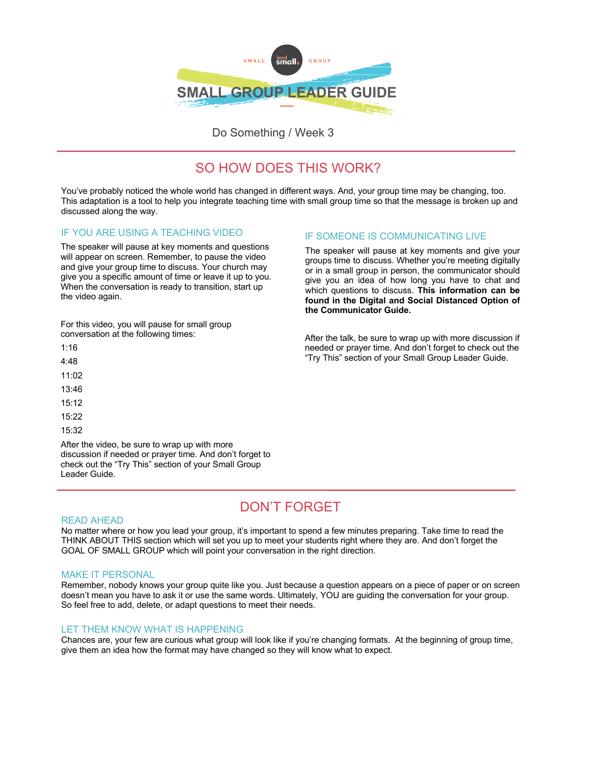

Do Something / Week 3

# SO HOW DOES THIS WORK?

You've probably noticed the whole world has changed in different ways. And, your group time may be changing, too. This adaptation is a tool to help you integrate teaching time with small group time so that the message is broken up and discussed along the way.

# IF YOU ARE USING A TEACHING VIDEO

The speaker will pause at key moments and questions will appear on screen. Remember, to pause the video and give your group time to discuss. Your church may give you a specific amount of time or leave it up to you. When the conversation is ready to transition, start up the video again.

For this video, you will pause for small group conversation at the following times:

1:16 4:48 11:02 13:46 15:12 15:22 15:32

After the video, be sure to wrap up with more discussion if needed or prayer time. And don't forget to check out the "Try This" section of your Small Group Leader Guide.

# IF SOMEONE IS COMMUNICATING LIVE

The speaker will pause at key moments and give your groups time to discuss. Whether you're meeting digitally or in a small group in person, the communicator should give you an idea of how long you have to chat and which questions to discuss. **This information can be found in the Digital and Social Distanced Option of the Communicator Guide.**

After the talk, be sure to wrap up with more discussion if needed or prayer time. And don't forget to check out the "Try This" section of your Small Group Leader Guide.

# DON'T FORGET

### READ AHEAD

No matter where or how you lead your group, it's important to spend a few minutes preparing. Take time to read the THINK ABOUT THIS section which will set you up to meet your students right where they are. And don't forget the GOAL OF SMALL GROUP which will point your conversation in the right direction.

# MAKE IT PERSONAL

Remember, nobody knows your group quite like you. Just because a question appears on a piece of paper or on screen doesn't mean you have to ask it or use the same words. Ultimately, YOU are guiding the conversation for your group. So feel free to add, delete, or adapt questions to meet their needs.

# LET THEM KNOW WHAT IS HAPPENING

Chances are, your few are curious what group will look like if you're changing formats. At the beginning of group time, give them an idea how the format may have changed so they will know what to expect.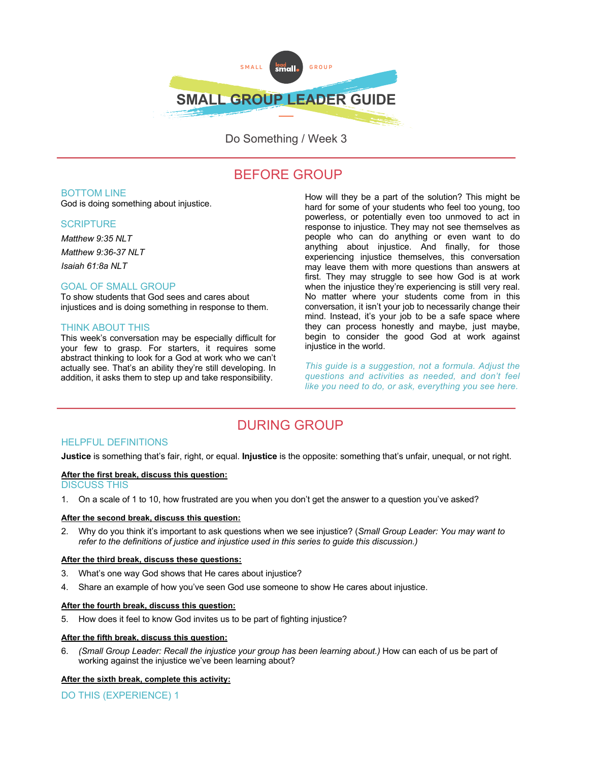

Do Something / Week 3

# BEFORE GROUP

### BOTTOM LINE

God is doing something about injustice.

### **SCRIPTURE**

*Matthew 9:35 NLT Matthew 9:36-37 NLT*

*Isaiah 61:8a NLT*

## GOAL OF SMALL GROUP

To show students that God sees and cares about injustices and is doing something in response to them.

### THINK ABOUT THIS

This week's conversation may be especially difficult for your few to grasp. For starters, it requires some abstract thinking to look for a God at work who we can't actually see. That's an ability they're still developing. In addition, it asks them to step up and take responsibility.

How will they be a part of the solution? This might be hard for some of your students who feel too young, too powerless, or potentially even too unmoved to act in response to injustice. They may not see themselves as people who can do anything or even want to do anything about injustice. And finally, for those experiencing injustice themselves, this conversation may leave them with more questions than answers at first. They may struggle to see how God is at work when the injustice they're experiencing is still very real. No matter where your students come from in this conversation, it isn't your job to necessarily change their mind. Instead, it's your job to be a safe space where they can process honestly and maybe, just maybe, begin to consider the good God at work against injustice in the world.

*This guide is a suggestion, not a formula. Adjust the questions and activities as needed, and don't feel like you need to do, or ask, everything you see here.*

# DURING GROUP

# HELPFUL DEFINITIONS

**Justice** is something that's fair, right, or equal. **Injustice** is the opposite: something that's unfair, unequal, or not right.

# **After the first break, discuss this question:**

# DISCUSS THIS

1. On a scale of 1 to 10, how frustrated are you when you don't get the answer to a question you've asked?

### **After the second break, discuss this question:**

2. Why do you think it's important to ask questions when we see injustice? (*Small Group Leader: You may want to refer to the definitions of justice and injustice used in this series to guide this discussion.)*

### **After the third break, discuss these questions:**

- 3. What's one way God shows that He cares about injustice?
- 4. Share an example of how you've seen God use someone to show He cares about injustice.

#### **After the fourth break, discuss this question:**

5. How does it feel to know God invites us to be part of fighting injustice?

### **After the fifth break, discuss this question:**

6. *(Small Group Leader: Recall the injustice your group has been learning about.)* How can each of us be part of working against the injustice we've been learning about?

#### **After the sixth break, complete this activity:**

DO THIS (EXPERIENCE) 1